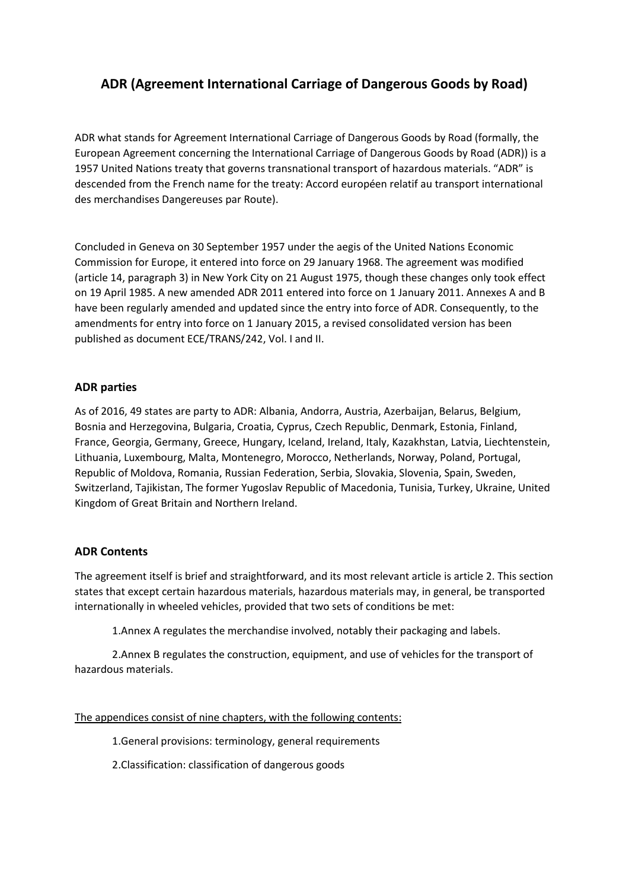## **ADR (Agreement International Carriage of Dangerous Goods by Road)**

ADR what stands for Agreement International Carriage of Dangerous Goods by Road (formally, the European Agreement concerning the International Carriage of Dangerous Goods by Road (ADR)) is a 1957 United Nations treaty that governs transnational transport of hazardous materials. "ADR" is descended from the French name for the treaty: Accord européen relatif au transport international des merchandises Dangereuses par Route).

Concluded in Geneva on 30 September 1957 under the aegis of the United Nations Economic Commission for Europe, it entered into force on 29 January 1968. The agreement was modified (article 14, paragraph 3) in New York City on 21 August 1975, though these changes only took effect on 19 April 1985. A new amended ADR 2011 entered into force on 1 January 2011. Annexes A and B have been regularly amended and updated since the entry into force of ADR. Consequently, to the amendments for entry into force on 1 January 2015, a revised consolidated version has been published as document ECE/TRANS/242, Vol. I and II.

## **ADR parties**

As of 2016, 49 states are party to ADR: Albania, Andorra, Austria, Azerbaijan, Belarus, Belgium, Bosnia and Herzegovina, Bulgaria, Croatia, Cyprus, Czech Republic, Denmark, Estonia, Finland, France, Georgia, Germany, Greece, Hungary, Iceland, Ireland, Italy, Kazakhstan, Latvia, Liechtenstein, Lithuania, Luxembourg, Malta, Montenegro, Morocco, Netherlands, Norway, Poland, Portugal, Republic of Moldova, Romania, Russian Federation, Serbia, Slovakia, Slovenia, Spain, Sweden, Switzerland, Tajikistan, The former Yugoslav Republic of Macedonia, Tunisia, Turkey, Ukraine, United Kingdom of Great Britain and Northern Ireland.

## **ADR Contents**

The agreement itself is brief and straightforward, and its most relevant article is article 2. This section states that except certain hazardous materials, hazardous materials may, in general, be transported internationally in wheeled vehicles, provided that two sets of conditions be met:

1.Annex A regulates the merchandise involved, notably their packaging and labels.

2.Annex B regulates the construction, equipment, and use of vehicles for the transport of hazardous materials.

The appendices consist of nine chapters, with the following contents:

1.General provisions: terminology, general requirements

2.Classification: classification of dangerous goods